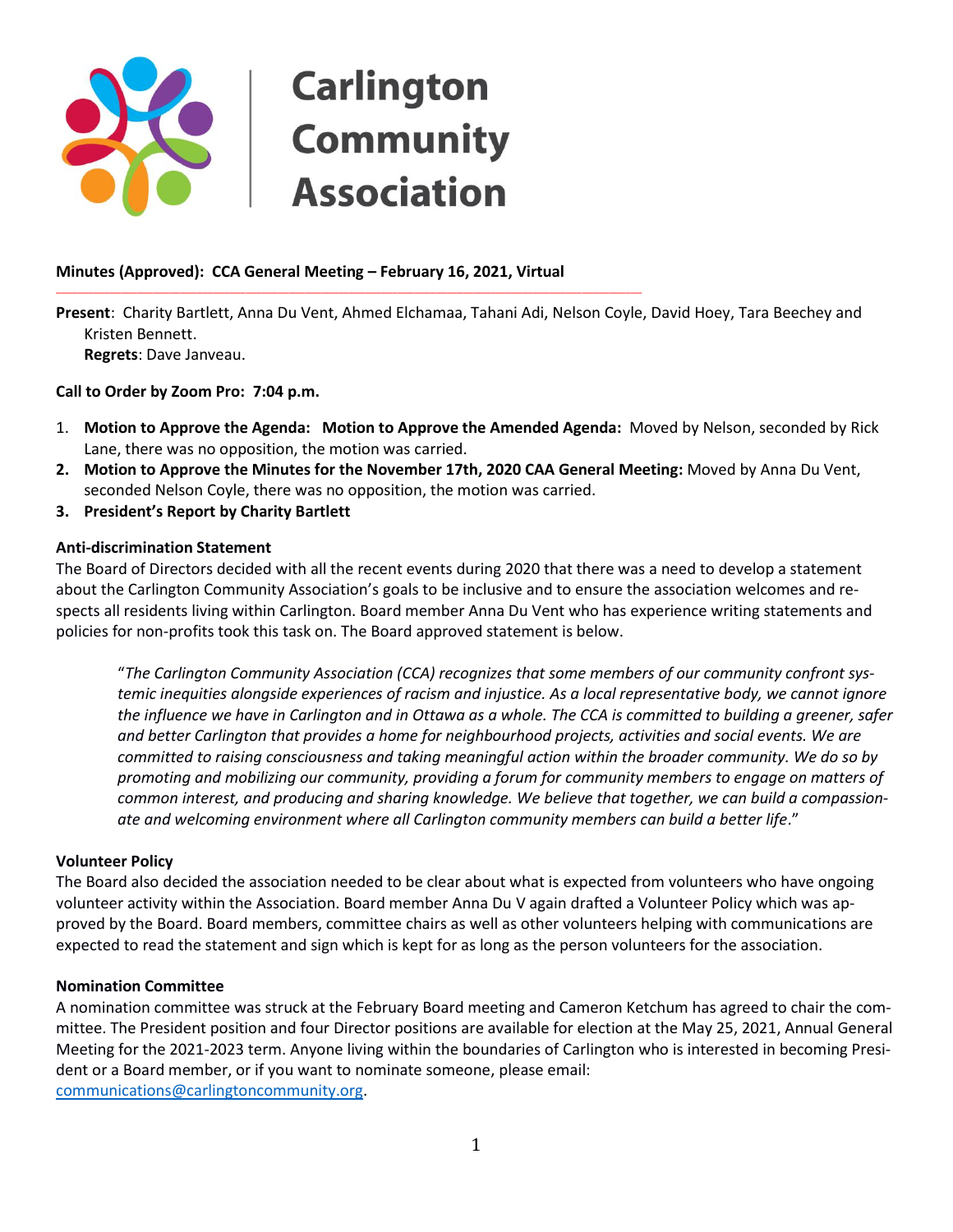## **Carlington Community Association**

#### **Minutes (Approved): CCA General Meeting – February 16, 2021, Virtual**

\_\_\_\_\_\_\_\_\_\_\_\_\_\_\_\_\_\_\_\_\_\_\_\_\_\_\_\_\_\_\_\_\_\_\_\_\_\_\_\_\_\_\_\_\_\_\_\_\_\_\_\_\_\_\_\_\_\_\_\_\_\_\_\_\_\_\_\_\_\_\_\_\_\_\_\_\_\_\_\_\_\_\_\_\_\_\_\_\_\_\_\_\_\_\_\_\_\_\_\_\_\_\_\_\_\_\_\_

**Present**: Charity Bartlett, Anna Du Vent, Ahmed Elchamaa, Tahani Adi, Nelson Coyle, David Hoey, Tara Beechey and Kristen Bennett. **Regrets**: Dave Janveau.

**Call to Order by Zoom Pro: 7:04 p.m.**

- 1. **Motion to Approve the Agenda: Motion to Approve the Amended Agenda:** Moved by Nelson, seconded by Rick Lane, there was no opposition, the motion was carried.
- **2. Motion to Approve the Minutes for the November 17th, 2020 CAA General Meeting:** Moved by Anna Du Vent, seconded Nelson Coyle, there was no opposition, the motion was carried.
- **3. President's Report by Charity Bartlett**

#### **Anti-discrimination Statement**

The Board of Directors decided with all the recent events during 2020 that there was a need to develop a statement about the Carlington Community Association's goals to be inclusive and to ensure the association welcomes and respects all residents living within Carlington. Board member Anna Du Vent who has experience writing statements and policies for non-profits took this task on. The Board approved statement is below.

"*The Carlington Community Association (CCA) recognizes that some members of our community confront systemic inequities alongside experiences of racism and injustice. As a local representative body, we cannot ignore the influence we have in Carlington and in Ottawa as a whole. The CCA is committed to building a greener, safer and better Carlington that provides a home for neighbourhood projects, activities and social events. We are committed to raising consciousness and taking meaningful action within the broader community. We do so by promoting and mobilizing our community, providing a forum for community members to engage on matters of common interest, and producing and sharing knowledge. We believe that together, we can build a compassionate and welcoming environment where all Carlington community members can build a better life*."

#### **Volunteer Policy**

The Board also decided the association needed to be clear about what is expected from volunteers who have ongoing volunteer activity within the Association. Board member Anna Du V again drafted a Volunteer Policy which was approved by the Board. Board members, committee chairs as well as other volunteers helping with communications are expected to read the statement and sign which is kept for as long as the person volunteers for the association.

#### **Nomination Committee**

A nomination committee was struck at the February Board meeting and Cameron Ketchum has agreed to chair the committee. The President position and four Director positions are available for election at the May 25, 2021, Annual General Meeting for the 2021-2023 term. Anyone living within the boundaries of Carlington who is interested in becoming President or a Board member, or if you want to nominate someone, please email: [communications@carlingtoncommunity.org.](mailto:communications@carlingtoncommunity.org)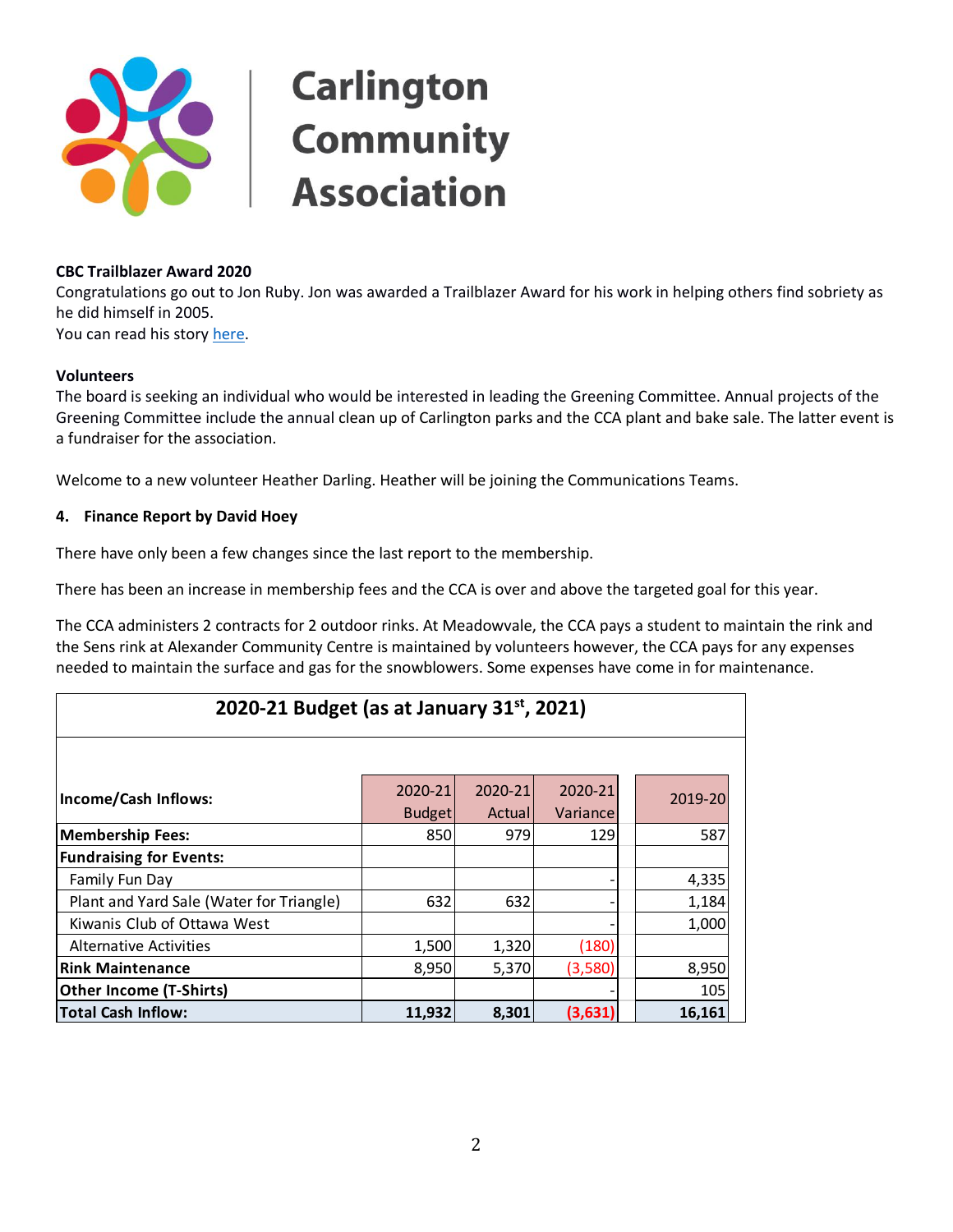

#### **CBC Trailblazer Award 2020**

Congratulations go out to Jon Ruby. Jon was awarded a Trailblazer Award for his work in helping others find sobriety as he did himself in 2005.

You can read his stor[y here.](https://www.carlingtoncommunity.org/wp-content/uploads/2021/02/JonRubyTrailblazer2020.pdf)

#### **Volunteers**

The board is seeking an individual who would be interested in leading the Greening Committee. Annual projects of the Greening Committee include the annual clean up of Carlington parks and the CCA plant and bake sale. The latter event is a fundraiser for the association.

Welcome to a new volunteer Heather Darling. Heather will be joining the Communications Teams.

#### **4. Finance Report by David Hoey**

There have only been a few changes since the last report to the membership.

There has been an increase in membership fees and the CCA is over and above the targeted goal for this year.

The CCA administers 2 contracts for 2 outdoor rinks. At Meadowvale, the CCA pays a student to maintain the rink and the Sens rink at Alexander Community Centre is maintained by volunteers however, the CCA pays for any expenses needed to maintain the surface and gas for the snowblowers. Some expenses have come in for maintenance.

| 2020-21 Budget (as at January $31^{st}$ , 2021) |               |         |           |         |  |  |
|-------------------------------------------------|---------------|---------|-----------|---------|--|--|
|                                                 |               |         |           |         |  |  |
| Income/Cash Inflows:                            | 2020-21       | 2020-21 | 2020-21   | 2019-20 |  |  |
|                                                 | <b>Budget</b> | Actuall | Variancel |         |  |  |
| <b>Membership Fees:</b>                         | 850           | 979     | 129       | 587     |  |  |
| <b>Fundraising for Events:</b>                  |               |         |           |         |  |  |
| Family Fun Day                                  |               |         |           | 4,335   |  |  |
| Plant and Yard Sale (Water for Triangle)        | 632           | 632     |           | 1,184   |  |  |
| Kiwanis Club of Ottawa West                     |               |         |           | 1,000   |  |  |
| <b>Alternative Activities</b>                   | 1,500         | 1,320   | (180)     |         |  |  |
| <b>Rink Maintenance</b>                         | 8,950         | 5,370   | (3,580)   | 8,950   |  |  |
| <b>Other Income (T-Shirts)</b>                  |               |         |           | 105     |  |  |
| <b>Total Cash Inflow:</b>                       | 11,932        | 8,301   | (3,631)   | 16,161  |  |  |